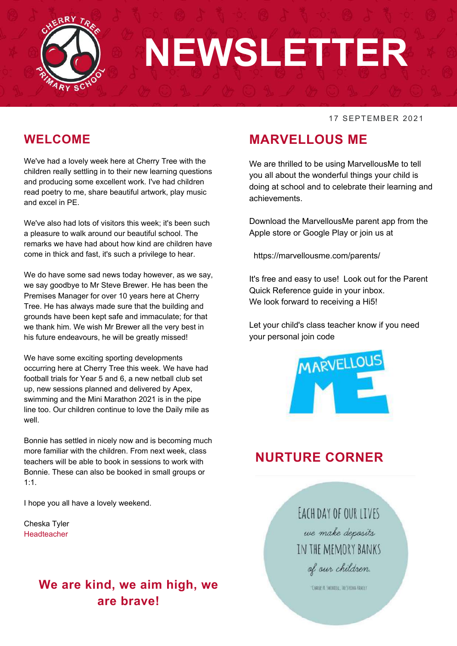

# **NEWSLETTER**

#### 17 SEPTEMBER 2021

#### **WELCOME**

We've had a lovely week here at Cherry Tree with the children really settling in to their new learning questions and producing some excellent work. I've had children read poetry to me, share beautiful artwork, play music and excel in PE.

We've also had lots of visitors this week; it's been such a pleasure to walk around our beautiful school. The remarks we have had about how kind are children have come in thick and fast, it's such a privilege to hear.

We do have some sad news today however, as we say, we say goodbye to Mr Steve Brewer. He has been the Premises Manager for over 10 years here at Cherry Tree. He has always made sure that the building and grounds have been kept safe and immaculate; for that we thank him. We wish Mr Brewer all the very best in his future endeavours, he will be greatly missed!

We have some exciting sporting developments occurring here at Cherry Tree this week. We have had football trials for Year 5 and 6, a new netball club set up, new sessions planned and delivered by Apex, swimming and the Mini Marathon 2021 is in the pipe line too. Our children continue to love the Daily mile as well.

Bonnie has settled in nicely now and is becoming much more familiar with the children. From next week, class teachers will be able to book in sessions to work with Bonnie. These can also be booked in small groups or 1:1.

I hope you all have a lovely weekend.

Cheska Tyler Headteacher

#### **We are kind, we aim high, we are brave!**

#### **MARVELLOUS ME**

We are thrilled to be using MarvellousMe to tell you all about the wonderful things your child is doing at school and to celebrate their learning and achievements.

Download the MarvellousMe parent app from the Apple store or Google Play or join us at

https://marvellousme.com/parents/

It's free and easy to use! Look out for the Parent Quick Reference guide in your inbox. We look forward to receiving a Hi5!

Let your child's class teacher know if you need your personal join code



#### **NURTURE CORNER**

EACH DAY OF OUR LIVES we make deposits IN THE MEMORY BANKS of our children.

"ERALEST SWENDLE, THE STEDNA FANCEY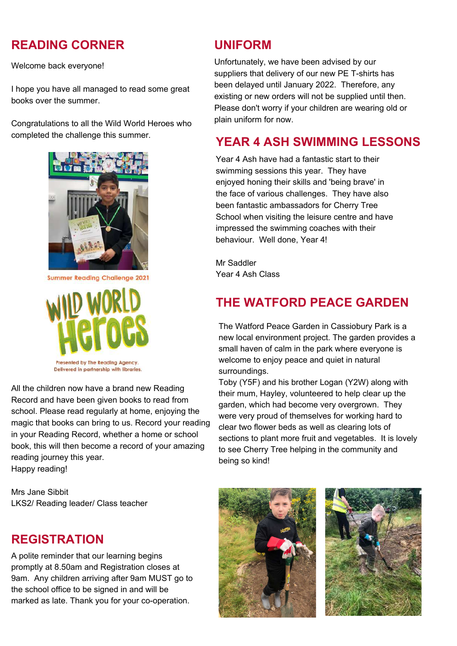#### **READING CORNER UNIFORM**

Welcome back everyone!

I hope you have all managed to read some great books over the summer.

Congratulations to all the Wild World Heroes who completed the challenge this summer.



**Summer Reading Challenge 2021** 



Delivered in partnership with libraries.

All the children now have a brand new Reading Record and have been given books to read from school. Please read regularly at home, enjoying the magic that books can bring to us. Record your reading in your Reading Record, whether a home or school book, this will then become a record of your amazing reading journey this year. Happy reading!

Mrs Jane Sibbit LKS2/ Reading leader/ Class teacher

#### **REGISTRATION**

A polite reminder that our learning begins promptly at 8.50am and Registration closes at 9am. Any children arriving after 9am MUST go to the school office to be signed in and will be marked as late. Thank you for your co-operation.

Unfortunately, we have been advised by our suppliers that delivery of our new PE T-shirts has been delayed until January 2022. Therefore, any existing or new orders will not be supplied until then. Please don't worry if your children are wearing old or plain uniform for now.

#### **YEAR 4 ASH SWIMMING LESSONS**

Year 4 Ash have had a fantastic start to their swimming sessions this year. They have enjoyed honing their skills and 'being brave' in the face of various challenges. They have also been fantastic ambassadors for Cherry Tree School when visiting the leisure centre and have impressed the swimming coaches with their behaviour. Well done, Year 4!

Mr Saddler Year 4 Ash Class

#### **THE WATFORD PEACE GARDEN**

The Watford Peace Garden in Cassiobury Park is a new local environment project. The garden provides a small haven of calm in the park where everyone is welcome to enjoy peace and quiet in natural surroundings.

Toby (Y5F) and his brother Logan (Y2W) along with their mum, Hayley, volunteered to help clear up the garden, which had become very overgrown. They were very proud of themselves for working hard to clear two flower beds as well as clearing lots of sections to plant more fruit and vegetables. It is lovely to see Cherry Tree helping in the community and being so kind!



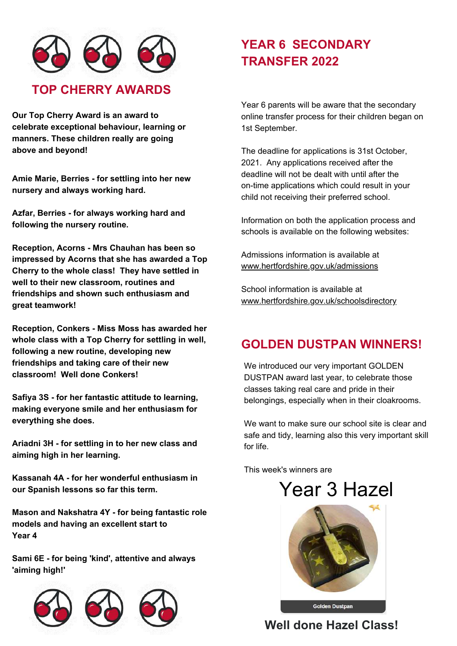

**Our Top Cherry Award is an award to celebrate exceptional behaviour, learning or manners. These children really are going above and beyond!**

**Amie Marie, Berries - for settling into her new nursery and always working hard.**

**Azfar, Berries - for always working hard and following the nursery routine.**

**Reception, Acorns - Mrs Chauhan has been so impressed by Acorns that she has awarded a Top Cherry to the whole class! They have settled in well to their new classroom, routines and friendships and shown such enthusiasm and great teamwork!**

**Reception, Conkers - Miss Moss has awarded her whole class with a Top Cherry for settling in well, following a new routine, developing new friendships and taking care of their new classroom! Well done Conkers!**

**Safiya 3S - for her fantastic attitude to learning, making everyone smile and her enthusiasm for everything she does.**

**Ariadni 3H - for settling in to her new class and aiming high in her learning.**

**Kassanah 4A - for her wonderful enthusiasm in our Spanish lessons so far this term.**

**Mason and Nakshatra 4Y - for being fantastic role models and having an excellent start to Year 4**

**Sami 6E - for being 'kind', attentive and always 'aiming high!'**



### **YEAR 6 SECONDARY TRANSFER 2022**

Year 6 parents will be aware that the secondary online transfer process for their children began on 1st September.

The deadline for applications is 31st October, 2021. Any applications received after the deadline will not be dealt with until after the on-time applications which could result in your child not receiving their preferred school.

Information on both the application process and schools is available on the following websites:

Admissions information is available at [www.hertfordshire.gov.uk/admissions](http://www.hertfordshire.gov.uk/admissions)

School information is available at [www.hertfordshire.gov.uk/schoolsdirectory](http://www.hertfordshire.gov.uk/schoolsdirectory)

#### **GOLDEN DUSTPAN WINNERS!**

We introduced our very important GOLDEN DUSTPAN award last year, to celebrate those classes taking real care and pride in their belongings, especially when in their cloakrooms.

We want to make sure our school site is clear and safe and tidy, learning also this very important skill for life.

This week's winners are

## Year 3 Hazel



**Well done Hazel Class!**